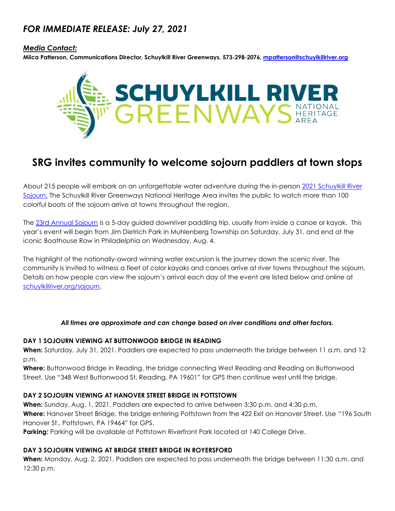## *FOR IMMEDIATE RELEASE: July 27, 2021*

#### *Media Contact:*

**Miica Patterson, Communications Director, Schuylkill River Greenways, 573-298-2076, [mpatterson@schuylkillriver.org](mailto:mpatterson@schuylkillriver.org)**



# **SRG invites community to welcome sojourn paddlers at town stops**

About 215 people will embark on an unforgettable water adventure during the in-person 2021 [Schuylkill](https://schuylkillriver.org/programs-projects/schuylkill-river-sojourn/) River [Sojourn.](https://schuylkillriver.org/programs-projects/schuylkill-river-sojourn/) The Schuylkill River Greenways National Heritage Area invites the public to watch more than 100 colorful boats of the sojourn arrive at towns throughout the region.

The [23rd Annual Sojourn](https://schuylkillriver.org/programs-projects/schuylkill-river-sojourn/) is a 5-day guided downriver paddling trip, usually from inside a canoe or kayak. This year's event will begin from Jim Dietrich Park in Muhlenberg Township on Saturday, July 31, and end at the iconic Boathouse Row in Philadelphia on Wednesday, Aug. 4.

The highlight of the nationally-award winning water excursion is the journey down the scenic river. The community is invited to witness a fleet of color kayaks and canoes arrive at river towns throughout the sojourn. Details on how people can view the sojourn's arrival each day of the event are listed below and online at [schuylkillriver.org/sojourn.](https://schuylkillriver.org/programs-projects/schuylkill-river-sojourn/)

#### *All times are approximate and can change based on river conditions and other factors.*

#### **DAY 1 SOJOURN VIEWING AT BUTTONWOOD BRIDGE IN READING**

**When:** Saturday, July 31, 2021. Paddlers are expected to pass underneath the bridge between 11 a.m. and 12 p.m.

**Where:** Buttonwood Bridge in Reading, the bridge connecting West Reading and Reading on Buttonwood Street. Use "348 West Buttonwood St, Reading, PA 19601" for GPS then continue west until the bridge.

## **DAY 2 SOJOURN VIEWING AT HANOVER STREET BRIDGE IN POTTSTOWN**

**When:** Sunday, Aug. 1, 2021. Paddlers are expected to arrive between 3:30 p.m. and 4:30 p.m. **Where:** Hanover Street Bridge, the bridge entering Pottstown from the 422 Exit on Hanover Street. Use "196 South Hanover St., Pottstown, PA 19464" for GPS.

**Parking:** Parking will be available at Pottstown Riverfront Park located at 140 College Drive.

#### **DAY 3 SOJOURN VIEWING AT BRIDGE STREET BRIDGE IN ROYERSFORD**

**When:** Monday, Aug. 2, 2021. Paddlers are expected to pass underneath the bridge between 11:30 a.m. and 12:30 p.m.